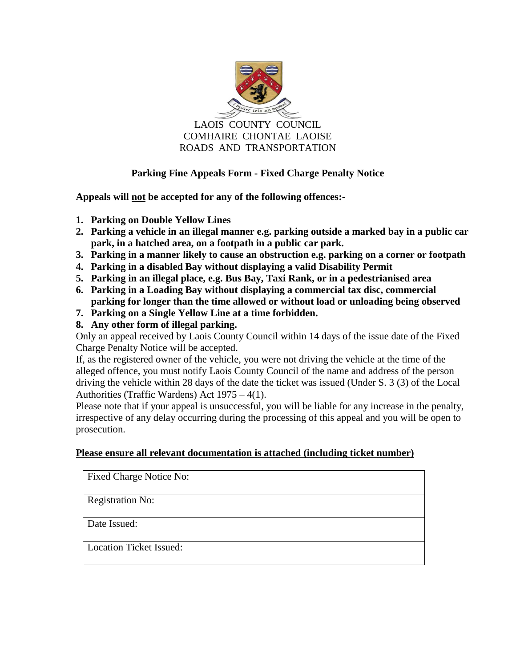

LAOIS COUNTY COUNCIL COMHAIRE CHONTAE LAOISE ROADS AND TRANSPORTATION

## **Parking Fine Appeals Form - Fixed Charge Penalty Notice**

**Appeals will not be accepted for any of the following offences:-**

- **1. Parking on Double Yellow Lines**
- **2. Parking a vehicle in an illegal manner e.g. parking outside a marked bay in a public car park, in a hatched area, on a footpath in a public car park.**
- **3. Parking in a manner likely to cause an obstruction e.g. parking on a corner or footpath**
- **4. Parking in a disabled Bay without displaying a valid Disability Permit**
- **5. Parking in an illegal place, e.g. Bus Bay, Taxi Rank, or in a pedestrianised area**
- **6. Parking in a Loading Bay without displaying a commercial tax disc, commercial parking for longer than the time allowed or without load or unloading being observed**
- **7. Parking on a Single Yellow Line at a time forbidden.**
- **8. Any other form of illegal parking.**

Only an appeal received by Laois County Council within 14 days of the issue date of the Fixed Charge Penalty Notice will be accepted.

If, as the registered owner of the vehicle, you were not driving the vehicle at the time of the alleged offence, you must notify Laois County Council of the name and address of the person driving the vehicle within 28 days of the date the ticket was issued (Under S. 3 (3) of the Local Authorities (Traffic Wardens) Act 1975 – 4(1).

Please note that if your appeal is unsuccessful, you will be liable for any increase in the penalty, irrespective of any delay occurring during the processing of this appeal and you will be open to prosecution.

## **Please ensure all relevant documentation is attached (including ticket number)**

| Fixed Charge Notice No:        |  |
|--------------------------------|--|
| <b>Registration No:</b>        |  |
| Date Issued:                   |  |
| <b>Location Ticket Issued:</b> |  |